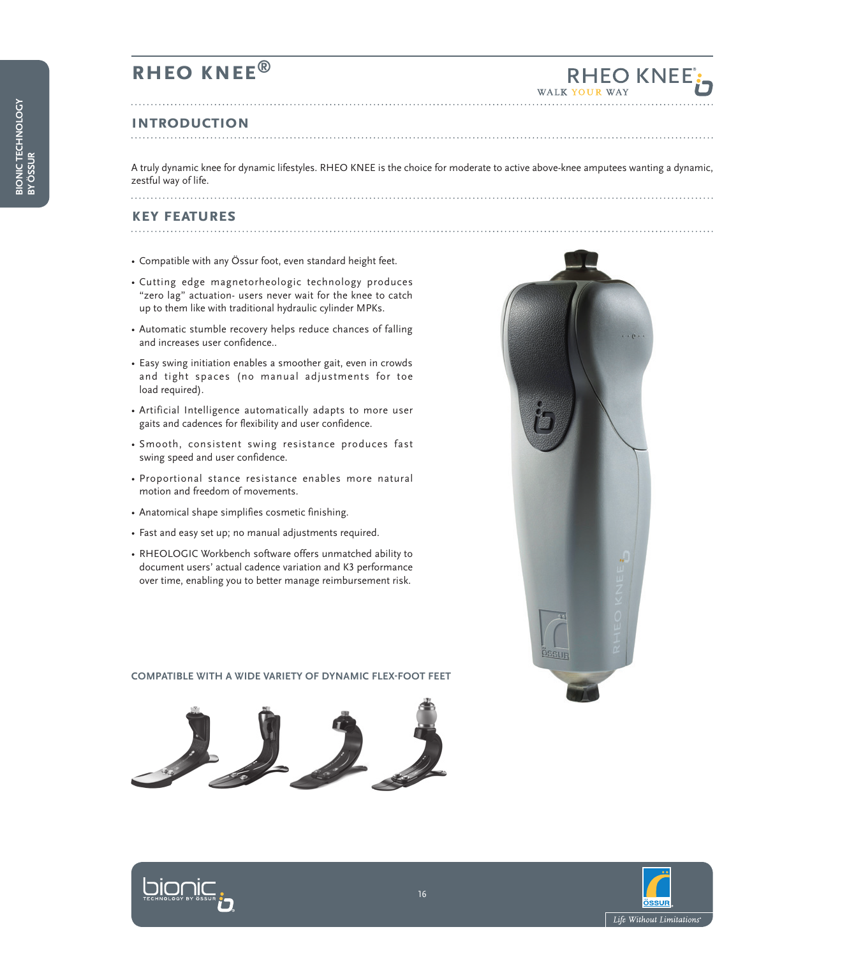### **RHEO KNEE®**

### **Introduction**

A truly dynamic knee for dynamic lifestyles. RHEO KNEE is the choice for moderate to active above-knee amputees wanting a dynamic, zestful way of life. 

### **key features**

- Compatible with any Össur foot, even standard height feet.
- Cutting edge magnetorheologic technology produces "zero lag" actuation- users never wait for the knee to catch up to them like with traditional hydraulic cylinder MPKs.
- Automatic stumble recovery helps reduce chances of falling and increases user confidence..
- Easy swing initiation enables a smoother gait, even in crowds and tight spaces (no manual adjustments for toe load required).
- Artificial Intelligence automatically adapts to more user gaits and cadences for flexibility and user confidence.
- Smooth, consistent swing resistance produces fast swing speed and user confidence.
- Proportional stance resistance enables more natural motion and freedom of movements.
- Anatomical shape simplifies cosmetic finishing.
- Fast and easy set up; no manual adjustments required.
- RHEOLOGIC Workbench software offers unmatched ability to document users' actual cadence variation and K3 performance over time, enabling you to better manage reimbursement risk.

#### **COMPATIBLE WITH A WIDE VARIETY OF DYNAMIC FLEX-FOOT FEET**





RHEO KNEE



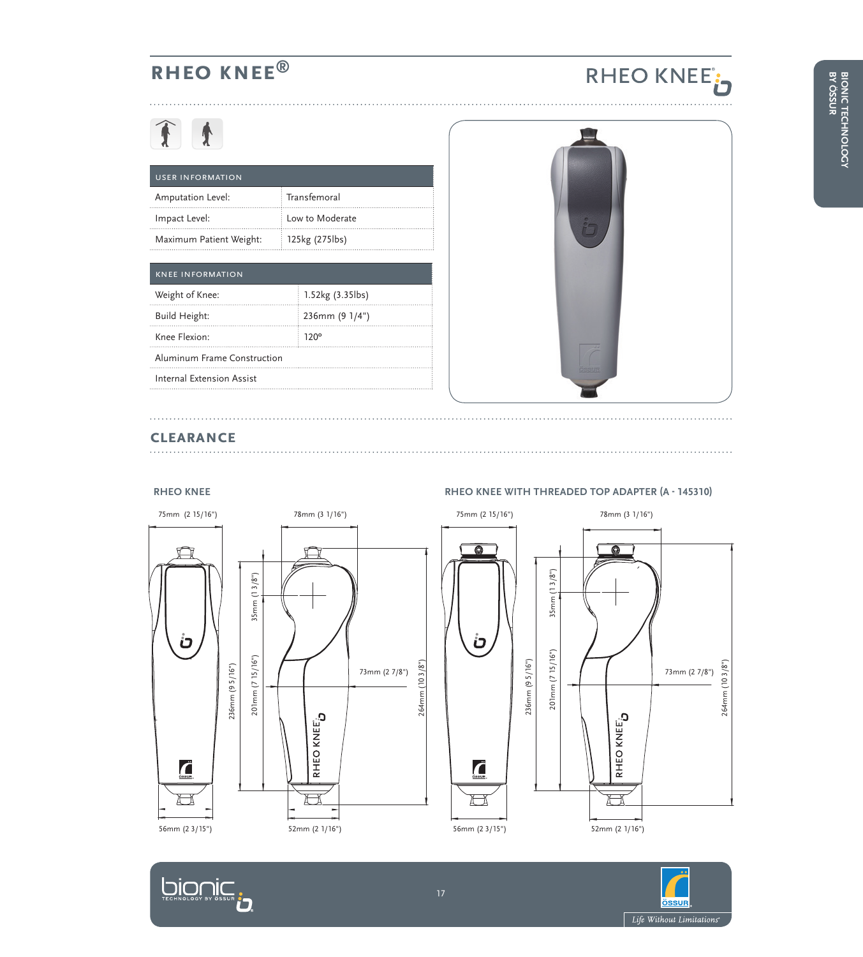## **RHEO KNEE®**

# 11

| <b>USER INFORMATION</b> |                 |  |
|-------------------------|-----------------|--|
| Amputation Level:       | : Transfemoral  |  |
| Impact Level:           | Low to Moderate |  |
| Maximum Patient Weight: | 125kg (275lbs)  |  |

| <b>KNEE INFORMATION</b> |  |  |
|-------------------------|--|--|
| 1.52kg (3.35lbs)        |  |  |
| 236mm (9 1/4")          |  |  |
| 120°                    |  |  |
|                         |  |  |
|                         |  |  |
|                         |  |  |



RHEO KNEE<sup>t</sup>

### **clearance**

**DIONIC** 



### **RHEO KNEE RHEO KNEE with Threaded Top Adapter (A - 145310)**